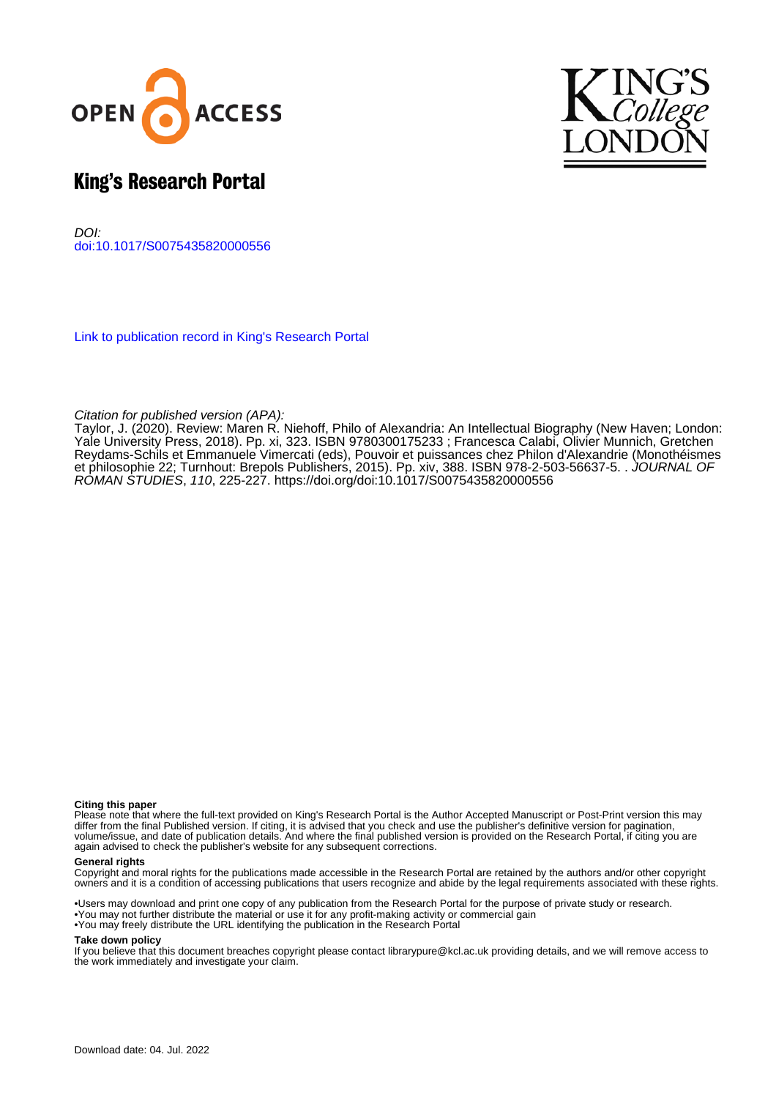



# King's Research Portal

DOI: [doi:10.1017/S0075435820000556](https://doi.org/doi:10.1017/S0075435820000556)

[Link to publication record in King's Research Portal](https://kclpure.kcl.ac.uk/portal/en/publications/review(3fa2e369-95a5-4219-b453-187613f205ab).html)

## Citation for published version (APA):

[Taylor, J.](/portal/joan.taylor.html) (2020). [Review: Maren R. Niehoff, Philo of Alexandria: An Intellectual Biography \(New Haven; London:](https://kclpure.kcl.ac.uk/portal/en/publications/review(3fa2e369-95a5-4219-b453-187613f205ab).html) [Yale University Press, 2018\). Pp. xi, 323. ISBN 9780300175233 ; Francesca Calabi, Olivier Munnich, Gretchen](https://kclpure.kcl.ac.uk/portal/en/publications/review(3fa2e369-95a5-4219-b453-187613f205ab).html) [Reydams-Schils et Emmanuele Vimercati \(eds\), Pouvoir et puissances chez Philon d'Alexandrie \(Monothéismes](https://kclpure.kcl.ac.uk/portal/en/publications/review(3fa2e369-95a5-4219-b453-187613f205ab).html) [et philosophie 22; Turnhout: Brepols Publishers, 2015\). Pp. xiv, 388. ISBN 978-2-503-56637-5. .](https://kclpure.kcl.ac.uk/portal/en/publications/review(3fa2e369-95a5-4219-b453-187613f205ab).html) [JOURNAL OF](https://kclpure.kcl.ac.uk/portal/en/journals/journal-of-roman-studies(c42de497-729b-42a6-859d-95e1325a7362).html) [ROMAN STUDIES](https://kclpure.kcl.ac.uk/portal/en/journals/journal-of-roman-studies(c42de497-729b-42a6-859d-95e1325a7362).html), 110, 225-227.<https://doi.org/doi:10.1017/S0075435820000556>

### **Citing this paper**

Please note that where the full-text provided on King's Research Portal is the Author Accepted Manuscript or Post-Print version this may differ from the final Published version. If citing, it is advised that you check and use the publisher's definitive version for pagination, volume/issue, and date of publication details. And where the final published version is provided on the Research Portal, if citing you are again advised to check the publisher's website for any subsequent corrections.

### **General rights**

Copyright and moral rights for the publications made accessible in the Research Portal are retained by the authors and/or other copyright owners and it is a condition of accessing publications that users recognize and abide by the legal requirements associated with these rights.

•Users may download and print one copy of any publication from the Research Portal for the purpose of private study or research. •You may not further distribute the material or use it for any profit-making activity or commercial gain •You may freely distribute the URL identifying the publication in the Research Portal

#### **Take down policy**

If you believe that this document breaches copyright please contact librarypure@kcl.ac.uk providing details, and we will remove access to the work immediately and investigate your claim.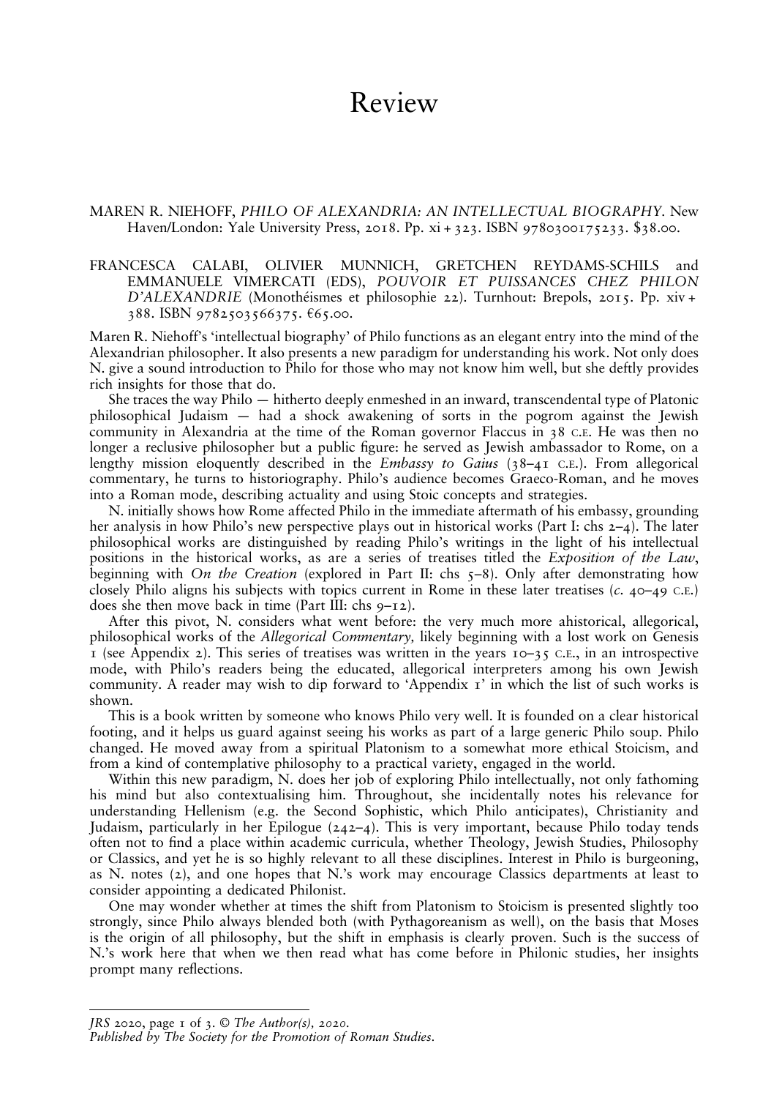## Review

### MAREN R. NIEHOFF, PHILO OF ALEXANDRIA: AN INTELLECTUAL BIOGRAPHY. New Haven/London: Yale University Press, 2018. Pp. xi + 323. ISBN 9780300175233. \$38.00.

### FRANCESCA CALABI, OLIVIER MUNNICH, GRETCHEN REYDAMS-SCHILS and EMMANUELE VIMERCATI (EDS), POUVOIR ET PUISSANCES CHEZ PHILON D'ALEXANDRIE (Monothéismes et philosophie 22). Turnhout: Brepols, 2015. Pp. xiv + 388. ISBN 9782503566375. €65.00.

Maren R. Niehoff's 'intellectual biography' of Philo functions as an elegant entry into the mind of the Alexandrian philosopher. It also presents a new paradigm for understanding his work. Not only does N. give a sound introduction to Philo for those who may not know him well, but she deftly provides rich insights for those that do.

She traces the way Philo — hitherto deeply enmeshed in an inward, transcendental type of Platonic philosophical Judaism — had a shock awakening of sorts in the pogrom against the Jewish community in Alexandria at the time of the Roman governor Flaccus in 38 C.E. He was then no longer a reclusive philosopher but a public figure: he served as Jewish ambassador to Rome, on a lengthy mission eloquently described in the *Embassy to Gaius* ( $38-41$  C.E.). From allegorical commentary, he turns to historiography. Philo's audience becomes Graeco-Roman, and he moves into a Roman mode, describing actuality and using Stoic concepts and strategies.

N. initially shows how Rome affected Philo in the immediate aftermath of his embassy, grounding her analysis in how Philo's new perspective plays out in historical works (Part I: chs 2–4). The later philosophical works are distinguished by reading Philo's writings in the light of his intellectual positions in the historical works, as are a series of treatises titled the Exposition of the Law, beginning with On the Creation (explored in Part II: chs  $\zeta$ -8). Only after demonstrating how closely Philo aligns his subjects with topics current in Rome in these later treatises (c. 40–49 C.E.) does she then move back in time (Part III: chs  $9-12$ ).

After this pivot, N. considers what went before: the very much more ahistorical, allegorical, philosophical works of the Allegorical Commentary, likely beginning with a lost work on Genesis 1 (see Appendix 2). This series of treatises was written in the years  $10-35$  C.E., in an introspective mode, with Philo's readers being the educated, allegorical interpreters among his own Jewish community. A reader may wish to dip forward to 'Appendix  $\tau$ ' in which the list of such works is shown.

This is a book written by someone who knows Philo very well. It is founded on a clear historical footing, and it helps us guard against seeing his works as part of a large generic Philo soup. Philo changed. He moved away from a spiritual Platonism to a somewhat more ethical Stoicism, and from a kind of contemplative philosophy to a practical variety, engaged in the world.

Within this new paradigm, N. does her job of exploring Philo intellectually, not only fathoming his mind but also contextualising him. Throughout, she incidentally notes his relevance for understanding Hellenism (e.g. the Second Sophistic, which Philo anticipates), Christianity and Judaism, particularly in her Epilogue (242–4). This is very important, because Philo today tends often not to nd a place within academic curricula, whether Theology, Jewish Studies, Philosophy or Classics, and yet he is so highly relevant to all these disciplines. Interest in Philo is burgeoning, as N. notes (2), and one hopes that N.'s work may encourage Classics departments at least to consider appointing a dedicated Philonist.

One may wonder whether at times the shift from Platonism to Stoicism is presented slightly too strongly, since Philo always blended both (with Pythagoreanism as well), on the basis that Moses is the origin of all philosophy, but the shift in emphasis is clearly proven. Such is the success of N.'s work here that when we then read what has come before in Philonic studies, her insights prompt many reflections.

JRS 2020, page  $\bar{1}$  of  $\bar{3}$ . © The Author(s), 2020. Published by The Society for the Promotion of Roman Studies.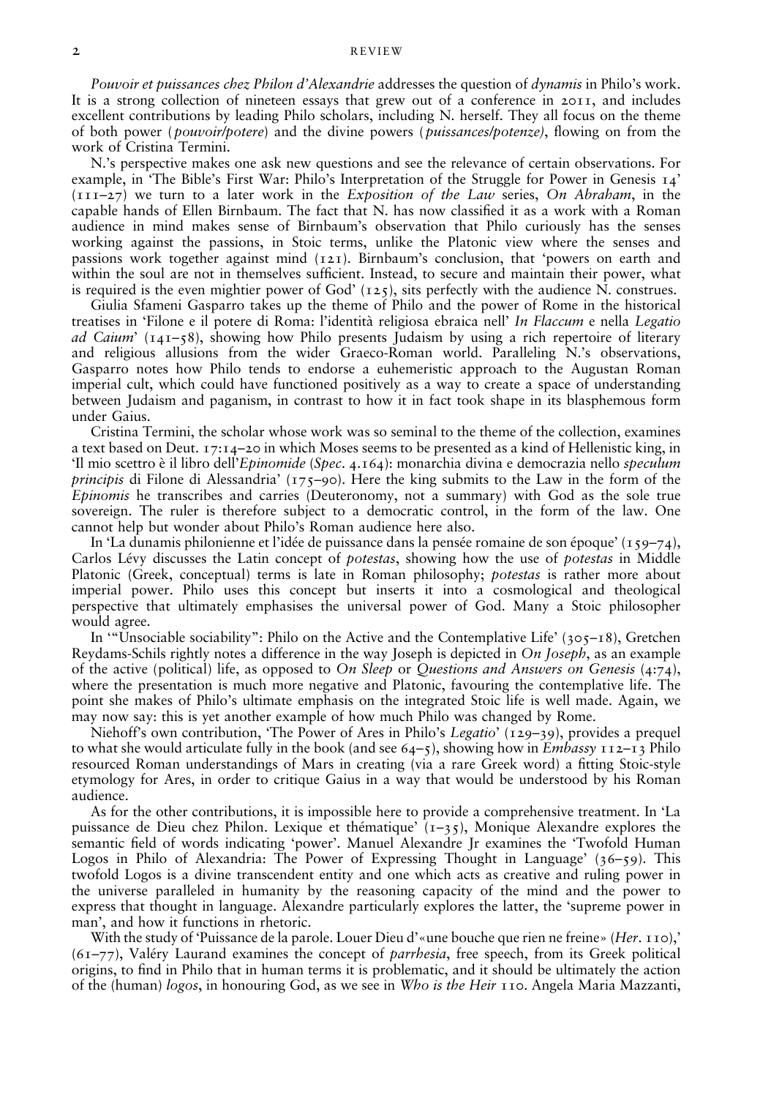#### 2 REVIEW

Pouvoir et puissances chez Philon d'Alexandrie addresses the question of dynamis in Philo's work. It is a strong collection of nineteen essays that grew out of a conference in 2011, and includes excellent contributions by leading Philo scholars, including N. herself. They all focus on the theme of both power (*pouvoir/potere*) and the divine powers (*puissances/potenze*), flowing on from the work of Cristina Termini.

N.'s perspective makes one ask new questions and see the relevance of certain observations. For example, in 'The Bible's First War: Philo's Interpretation of the Struggle for Power in Genesis 14'  $(111-27)$  we turn to a later work in the Exposition of the Law series, On Abraham, in the capable hands of Ellen Birnbaum. The fact that N. has now classied it as a work with a Roman audience in mind makes sense of Birnbaum's observation that Philo curiously has the senses working against the passions, in Stoic terms, unlike the Platonic view where the senses and passions work together against mind (121). Birnbaum's conclusion, that 'powers on earth and within the soul are not in themselves sufficient. Instead, to secure and maintain their power, what is required is the even mightier power of God'  $(125)$ , sits perfectly with the audience N. construes.

Giulia Sfameni Gasparro takes up the theme of Philo and the power of Rome in the historical treatises in 'Filone e il potere di Roma: l'identità religiosa ebraica nell' In Flaccum e nella Legatio ad Caium'  $(141-58)$ , showing how Philo presents Judaism by using a rich repertoire of literary and religious allusions from the wider Graeco-Roman world. Paralleling N.'s observations, Gasparro notes how Philo tends to endorse a euhemeristic approach to the Augustan Roman imperial cult, which could have functioned positively as a way to create a space of understanding between Judaism and paganism, in contrast to how it in fact took shape in its blasphemous form under Gaius.

Cristina Termini, the scholar whose work was so seminal to the theme of the collection, examines a text based on Deut. 17:14–20 in which Moses seems to be presented as a kind of Hellenistic king, in 'Il mio scettro è il libro dell'Epinomide (Spec. 4.164): monarchia divina e democrazia nello speculum *principis* di Filone di Alessandria' (175–90). Here the king submits to the Law in the form of the Epinomis he transcribes and carries (Deuteronomy, not a summary) with God as the sole true sovereign. The ruler is therefore subject to a democratic control, in the form of the law. One cannot help but wonder about Philo's Roman audience here also.

In 'La dunamis philonienne et l'idée de puissance dans la pensée romaine de son époque' (159–74), Carlos Lévy discusses the Latin concept of potestas, showing how the use of potestas in Middle Platonic (Greek, conceptual) terms is late in Roman philosophy; potestas is rather more about imperial power. Philo uses this concept but inserts it into a cosmological and theological perspective that ultimately emphasises the universal power of God. Many a Stoic philosopher would agree.

In '"Unsociable sociability": Philo on the Active and the Contemplative Life' (305–18), Gretchen Reydams-Schils rightly notes a difference in the way Joseph is depicted in On Joseph, as an example of the active (political) life, as opposed to On Sleep or Questions and Answers on Genesis (4:74), where the presentation is much more negative and Platonic, favouring the contemplative life. The point she makes of Philo's ultimate emphasis on the integrated Stoic life is well made. Again, we may now say: this is yet another example of how much Philo was changed by Rome.

Niehoff's own contribution, 'The Power of Ares in Philo's Legatio' (129–39), provides a prequel to what she would articulate fully in the book (and see  $64-5$ ), showing how in *Embassy*  $112-13$  Philo resourced Roman understandings of Mars in creating (via a rare Greek word) a tting Stoic-style etymology for Ares, in order to critique Gaius in a way that would be understood by his Roman audience.

As for the other contributions, it is impossible here to provide a comprehensive treatment. In 'La puissance de Dieu chez Philon. Lexique et thématique'  $(1-35)$ , Monique Alexandre explores the semantic field of words indicating 'power'. Manuel Alexandre Jr examines the 'Twofold Human Logos in Philo of Alexandria: The Power of Expressing Thought in Language' (36–59). This twofold Logos is a divine transcendent entity and one which acts as creative and ruling power in the universe paralleled in humanity by the reasoning capacity of the mind and the power to express that thought in language. Alexandre particularly explores the latter, the 'supreme power in man', and how it functions in rhetoric.

With the study of 'Puissance de la parole. Louer Dieu d'«une bouche que rien ne freine» (Her. 110),'  $(61–77)$ , Valéry Laurand examines the concept of *parrhesia*, free speech, from its Greek political origins, to find in Philo that in human terms it is problematic, and it should be ultimately the action of the (human) logos, in honouring God, as we see in Who is the Heir 110. Angela Maria Mazzanti,